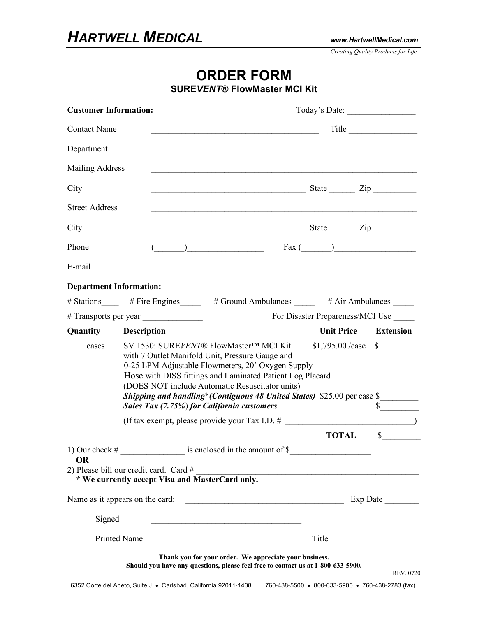*Creating Quality Products for Life*

## **ORDER FORM**

**SURE***VENT***® FlowMaster MCI Kit**

| <b>Customer Information:</b>                          |                                                                                                                                                                                                                                                                                                              |  | Today's Date:                                                                                                                                                                                                                                                                                                                                                    |          |              |                                  |
|-------------------------------------------------------|--------------------------------------------------------------------------------------------------------------------------------------------------------------------------------------------------------------------------------------------------------------------------------------------------------------|--|------------------------------------------------------------------------------------------------------------------------------------------------------------------------------------------------------------------------------------------------------------------------------------------------------------------------------------------------------------------|----------|--------------|----------------------------------|
| <b>Contact Name</b>                                   |                                                                                                                                                                                                                                                                                                              |  | Title<br><u> Alexandro Alexandro Alexandro Alexandro Alexandro Alexandro Alexandro Alexandro Alexandro Alexandro Alexandro </u>                                                                                                                                                                                                                                  |          |              |                                  |
| Department                                            |                                                                                                                                                                                                                                                                                                              |  | and the control of the control of the control of the control of the control of the control of the control of the                                                                                                                                                                                                                                                 |          |              |                                  |
| <b>Mailing Address</b>                                |                                                                                                                                                                                                                                                                                                              |  |                                                                                                                                                                                                                                                                                                                                                                  |          |              |                                  |
| City                                                  |                                                                                                                                                                                                                                                                                                              |  | $S$ tate $\frac{1}{\sqrt{2\pi}}$ $\frac{1}{\sqrt{2\pi}}$ $\frac{1}{\sqrt{2\pi}}$ $\frac{1}{\sqrt{2\pi}}$ $\frac{1}{\sqrt{2\pi}}$ $\frac{1}{\sqrt{2\pi}}$ $\frac{1}{\sqrt{2\pi}}$ $\frac{1}{\sqrt{2\pi}}$ $\frac{1}{\sqrt{2\pi}}$ $\frac{1}{\sqrt{2\pi}}$ $\frac{1}{\sqrt{2\pi}}$ $\frac{1}{\sqrt{2\pi}}$ $\frac{1}{\sqrt{2\pi}}$ $\frac{1}{\sqrt{2\pi}}$ $\frac$ |          |              |                                  |
| <b>Street Address</b>                                 |                                                                                                                                                                                                                                                                                                              |  |                                                                                                                                                                                                                                                                                                                                                                  |          |              |                                  |
| City                                                  |                                                                                                                                                                                                                                                                                                              |  | State <u>Tip Zip</u>                                                                                                                                                                                                                                                                                                                                             |          |              |                                  |
| Phone                                                 |                                                                                                                                                                                                                                                                                                              |  |                                                                                                                                                                                                                                                                                                                                                                  |          |              |                                  |
|                                                       |                                                                                                                                                                                                                                                                                                              |  |                                                                                                                                                                                                                                                                                                                                                                  |          |              |                                  |
| E-mail                                                |                                                                                                                                                                                                                                                                                                              |  |                                                                                                                                                                                                                                                                                                                                                                  |          |              |                                  |
| <b>Department Information:</b>                        |                                                                                                                                                                                                                                                                                                              |  |                                                                                                                                                                                                                                                                                                                                                                  |          |              |                                  |
|                                                       |                                                                                                                                                                                                                                                                                                              |  | # Stations _____ # Fire Engines _____ # Ground Ambulances _____ # Air Ambulances ____                                                                                                                                                                                                                                                                            |          |              |                                  |
|                                                       |                                                                                                                                                                                                                                                                                                              |  |                                                                                                                                                                                                                                                                                                                                                                  |          |              | For Disaster Prepareness/MCI Use |
| <b>Quantity</b>                                       | <b>Description</b>                                                                                                                                                                                                                                                                                           |  |                                                                                                                                                                                                                                                                                                                                                                  |          |              | <b>Unit Price Extension</b>      |
| cases                                                 | SV 1530: SUREVENT® FlowMaster™ MCI Kit<br>with 7 Outlet Manifold Unit, Pressure Gauge and<br>0-25 LPM Adjustable Flowmeters, 20' Oxygen Supply<br>Hose with DISS fittings and Laminated Patient Log Placard<br>(DOES NOT include Automatic Resuscitator units)<br>Sales Tax (7.75%) for California customers |  | $$1,795.00 / case \quad $$<br>Shipping and handling* (Contiguous 48 United States) \$25.00 per case \$<br>$\frac{1}{\sqrt{2}}$                                                                                                                                                                                                                                   |          |              |                                  |
|                                                       |                                                                                                                                                                                                                                                                                                              |  |                                                                                                                                                                                                                                                                                                                                                                  |          |              |                                  |
| <b>OR</b><br>2) Please bill our credit card. Card $#$ |                                                                                                                                                                                                                                                                                                              |  |                                                                                                                                                                                                                                                                                                                                                                  |          | <b>TOTAL</b> |                                  |
|                                                       |                                                                                                                                                                                                                                                                                                              |  |                                                                                                                                                                                                                                                                                                                                                                  |          |              |                                  |
|                                                       |                                                                                                                                                                                                                                                                                                              |  |                                                                                                                                                                                                                                                                                                                                                                  | Exp Date |              |                                  |
| Signed                                                |                                                                                                                                                                                                                                                                                                              |  | <u> 1980 - Johann Barbara, martxa alemaniar arg</u>                                                                                                                                                                                                                                                                                                              |          |              |                                  |
| Printed Name                                          |                                                                                                                                                                                                                                                                                                              |  |                                                                                                                                                                                                                                                                                                                                                                  |          |              | Title <b>The Community</b> Title |
|                                                       |                                                                                                                                                                                                                                                                                                              |  | Thank you for your order. We appreciate your business.<br>Should you have any questions, please feel free to contact us at 1-800-633-5900.                                                                                                                                                                                                                       |          |              | REV. 0720                        |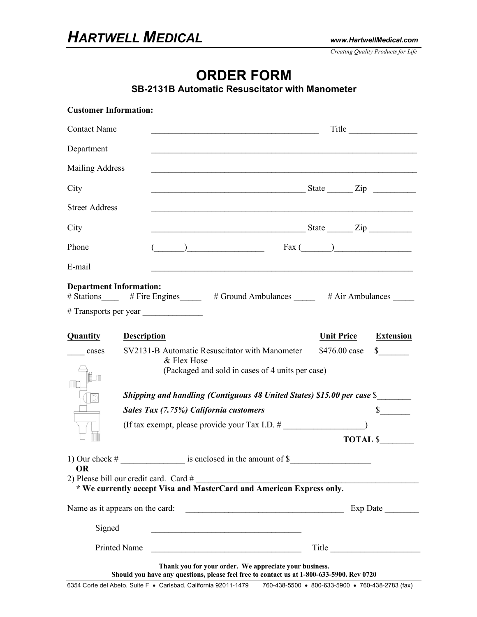*Creating Quality Products for Life*

## **ORDER FORM**

**SB-2131B Automatic Resuscitator with Manometer** 

| <b>Customer Information:</b>             |                                                                                                                   |                                                                                                                                                    |                                                                                                                                                                                                                                                                                                                                                                    |                   |                             |  |
|------------------------------------------|-------------------------------------------------------------------------------------------------------------------|----------------------------------------------------------------------------------------------------------------------------------------------------|--------------------------------------------------------------------------------------------------------------------------------------------------------------------------------------------------------------------------------------------------------------------------------------------------------------------------------------------------------------------|-------------------|-----------------------------|--|
| <b>Contact Name</b>                      |                                                                                                                   |                                                                                                                                                    | <u> 1989 - Johann Barbara, martxa alemaniar amerikan basar da a</u>                                                                                                                                                                                                                                                                                                | Title             |                             |  |
| Department                               |                                                                                                                   |                                                                                                                                                    |                                                                                                                                                                                                                                                                                                                                                                    |                   |                             |  |
| <b>Mailing Address</b>                   |                                                                                                                   |                                                                                                                                                    |                                                                                                                                                                                                                                                                                                                                                                    |                   |                             |  |
| City                                     |                                                                                                                   |                                                                                                                                                    |                                                                                                                                                                                                                                                                                                                                                                    |                   |                             |  |
| <b>Street Address</b>                    |                                                                                                                   |                                                                                                                                                    |                                                                                                                                                                                                                                                                                                                                                                    |                   |                             |  |
| City                                     |                                                                                                                   |                                                                                                                                                    | $\frac{1}{\sqrt{2}}$ State $\frac{1}{\sqrt{2}}$ $\frac{1}{\sqrt{2}}$ $\frac{1}{\sqrt{2}}$ $\frac{1}{\sqrt{2}}$ $\frac{1}{\sqrt{2}}$ $\frac{1}{\sqrt{2}}$ $\frac{1}{\sqrt{2}}$ $\frac{1}{\sqrt{2}}$ $\frac{1}{\sqrt{2}}$ $\frac{1}{\sqrt{2}}$ $\frac{1}{\sqrt{2}}$ $\frac{1}{\sqrt{2}}$ $\frac{1}{\sqrt{2}}$ $\frac{1}{\sqrt{2}}$ $\frac{1}{\sqrt{2}}$ $\frac{1}{\$ |                   |                             |  |
| Phone                                    |                                                                                                                   |                                                                                                                                                    |                                                                                                                                                                                                                                                                                                                                                                    |                   |                             |  |
| E-mail                                   |                                                                                                                   |                                                                                                                                                    | and the control of the control of the control of the control of the control of the control of the control of the                                                                                                                                                                                                                                                   |                   |                             |  |
| <b>Department Information:</b>           |                                                                                                                   |                                                                                                                                                    | # Stations _______ # Fire Engines _______ # Ground Ambulances ______ # Air Ambulances _____                                                                                                                                                                                                                                                                        |                   |                             |  |
| <b>Quantity</b>                          | <b>Description</b>                                                                                                |                                                                                                                                                    |                                                                                                                                                                                                                                                                                                                                                                    | <b>Unit Price</b> | <b>Extension</b>            |  |
| cases<br>Ìh                              |                                                                                                                   | SV2131-B Automatic Resuscitator with Manometer<br>$\mathbb{S}$<br>\$476.00 case<br>& Flex Hose<br>(Packaged and sold in cases of 4 units per case) |                                                                                                                                                                                                                                                                                                                                                                    |                   |                             |  |
|                                          | Shipping and handling (Contiguous 48 United States) \$15.00 per case \$<br>Sales Tax (7.75%) California customers |                                                                                                                                                    |                                                                                                                                                                                                                                                                                                                                                                    |                   |                             |  |
|                                          |                                                                                                                   |                                                                                                                                                    |                                                                                                                                                                                                                                                                                                                                                                    |                   | $\frac{\text{S}}{\text{S}}$ |  |
|                                          |                                                                                                                   |                                                                                                                                                    |                                                                                                                                                                                                                                                                                                                                                                    |                   | <b>TOTAL \$</b>             |  |
| <b>OR</b>                                |                                                                                                                   |                                                                                                                                                    | 1) Our check $#$ is enclosed in the amount of \$                                                                                                                                                                                                                                                                                                                   |                   |                             |  |
| 2) Please bill our credit card. Card $#$ |                                                                                                                   |                                                                                                                                                    | * We currently accept Visa and MasterCard and American Express only.                                                                                                                                                                                                                                                                                               |                   |                             |  |
| Name as it appears on the card:          |                                                                                                                   |                                                                                                                                                    |                                                                                                                                                                                                                                                                                                                                                                    |                   | Exp Date                    |  |
|                                          |                                                                                                                   |                                                                                                                                                    |                                                                                                                                                                                                                                                                                                                                                                    |                   |                             |  |
| Signed                                   |                                                                                                                   |                                                                                                                                                    |                                                                                                                                                                                                                                                                                                                                                                    |                   |                             |  |
| <b>Printed Name</b>                      |                                                                                                                   |                                                                                                                                                    | Thank you for your order. We appreciate your business.<br>Should you have any questions, please feel free to contact us at 1-800-633-5900. Rev 0720                                                                                                                                                                                                                | Title             |                             |  |
|                                          |                                                                                                                   |                                                                                                                                                    |                                                                                                                                                                                                                                                                                                                                                                    |                   |                             |  |